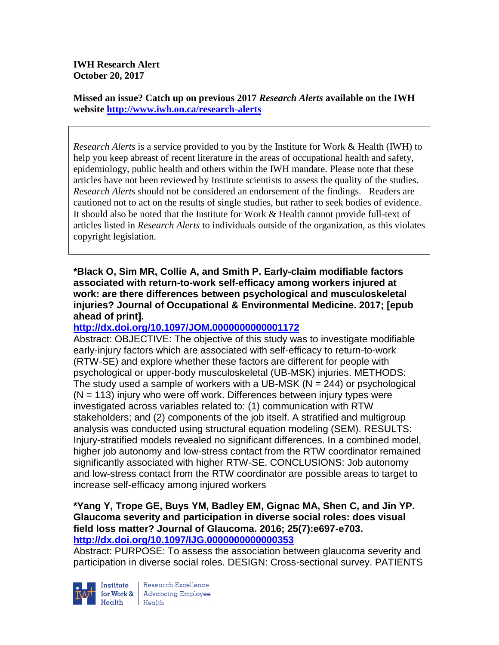**Missed an issue? Catch up on previous 2017** *Research Alerts* **available on the [IWH](http://www.iwh.on.ca/research-alerts)  [website](http://www.iwh.on.ca/research-alerts) <http://www.iwh.on.ca/research-alerts>**

*Research Alerts* is a service provided to you by the Institute for Work & Health (IWH) to help you keep abreast of recent literature in the areas of occupational health and safety, epidemiology, public health and others within the IWH mandate. Please note that these articles have not been reviewed by Institute scientists to assess the quality of the studies. *Research Alerts* should not be considered an endorsement of the findings. Readers are cautioned not to act on the results of single studies, but rather to seek bodies of evidence. It should also be noted that the Institute for Work & Health cannot provide full-text of articles listed in *Research Alerts* to individuals outside of the organization, as this violates copyright legislation.

**\*Black O, Sim MR, Collie A, and Smith P. Early-claim modifiable factors associated with return-to-work self-efficacy among workers injured at work: are there differences between psychological and musculoskeletal injuries? Journal of Occupational & Environmental Medicine. 2017; [epub ahead of print].**

# **<http://dx.doi.org/10.1097/JOM.0000000000001172>**

Abstract: OBJECTIVE: The objective of this study was to investigate modifiable early-injury factors which are associated with self-efficacy to return-to-work (RTW-SE) and explore whether these factors are different for people with psychological or upper-body musculoskeletal (UB-MSK) injuries. METHODS: The study used a sample of workers with a UB-MSK ( $N = 244$ ) or psychological  $(N = 113)$  injury who were off work. Differences between injury types were investigated across variables related to: (1) communication with RTW stakeholders; and (2) components of the job itself. A stratified and multigroup analysis was conducted using structural equation modeling (SEM). RESULTS: Injury-stratified models revealed no significant differences. In a combined model, higher job autonomy and low-stress contact from the RTW coordinator remained significantly associated with higher RTW-SE. CONCLUSIONS: Job autonomy and low-stress contact from the RTW coordinator are possible areas to target to increase self-efficacy among injured workers

### **\*Yang Y, Trope GE, Buys YM, Badley EM, Gignac MA, Shen C, and Jin YP. Glaucoma severity and participation in diverse social roles: does visual field loss matter? Journal of Glaucoma. 2016; 25(7):e697-e703. <http://dx.doi.org/10.1097/IJG.0000000000000353>**

Abstract: PURPOSE: To assess the association between glaucoma severity and participation in diverse social roles. DESIGN: Cross-sectional survey. PATIENTS



Research Excellence **Advancing Employee** Health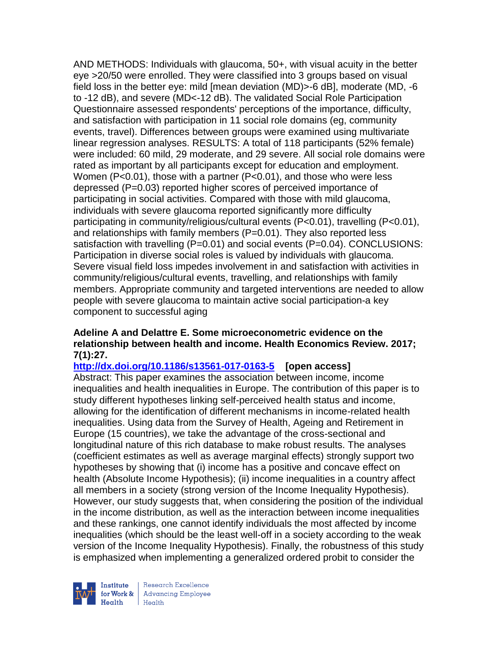AND METHODS: Individuals with glaucoma, 50+, with visual acuity in the better eye >20/50 were enrolled. They were classified into 3 groups based on visual field loss in the better eye: mild [mean deviation (MD)>-6 dB], moderate (MD, -6 to -12 dB), and severe (MD<-12 dB). The validated Social Role Participation Questionnaire assessed respondents' perceptions of the importance, difficulty, and satisfaction with participation in 11 social role domains (eg, community events, travel). Differences between groups were examined using multivariate linear regression analyses. RESULTS: A total of 118 participants (52% female) were included: 60 mild, 29 moderate, and 29 severe. All social role domains were rated as important by all participants except for education and employment. Women (P<0.01), those with a partner (P<0.01), and those who were less depressed (P=0.03) reported higher scores of perceived importance of participating in social activities. Compared with those with mild glaucoma, individuals with severe glaucoma reported significantly more difficulty participating in community/religious/cultural events (P<0.01), travelling (P<0.01), and relationships with family members  $(P=0.01)$ . They also reported less satisfaction with travelling (P=0.01) and social events (P=0.04). CONCLUSIONS: Participation in diverse social roles is valued by individuals with glaucoma. Severe visual field loss impedes involvement in and satisfaction with activities in community/religious/cultural events, travelling, and relationships with family members. Appropriate community and targeted interventions are needed to allow people with severe glaucoma to maintain active social participation-a key component to successful aging

### **Adeline A and Delattre E. Some microeconometric evidence on the relationship between health and income. Health Economics Review. 2017; 7(1):27.**

**<http://dx.doi.org/10.1186/s13561-017-0163-5>[open access]**

Abstract: This paper examines the association between income, income inequalities and health inequalities in Europe. The contribution of this paper is to study different hypotheses linking self-perceived health status and income, allowing for the identification of different mechanisms in income-related health inequalities. Using data from the Survey of Health, Ageing and Retirement in Europe (15 countries), we take the advantage of the cross-sectional and longitudinal nature of this rich database to make robust results. The analyses (coefficient estimates as well as average marginal effects) strongly support two hypotheses by showing that (i) income has a positive and concave effect on health (Absolute Income Hypothesis); (ii) income inequalities in a country affect all members in a society (strong version of the Income Inequality Hypothesis). However, our study suggests that, when considering the position of the individual in the income distribution, as well as the interaction between income inequalities and these rankings, one cannot identify individuals the most affected by income inequalities (which should be the least well-off in a society according to the weak version of the Income Inequality Hypothesis). Finally, the robustness of this study is emphasized when implementing a generalized ordered probit to consider the

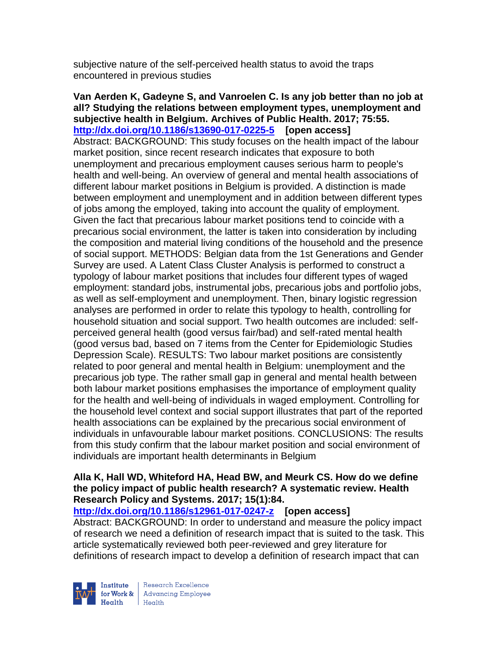subjective nature of the self-perceived health status to avoid the traps encountered in previous studies

**Van Aerden K, Gadeyne S, and Vanroelen C. Is any job better than no job at all? Studying the relations between employment types, unemployment and subjective health in Belgium. Archives of Public Health. 2017; 75:55. <http://dx.doi.org/10.1186/s13690-017-0225-5>[open access]** Abstract: BACKGROUND: This study focuses on the health impact of the labour market position, since recent research indicates that exposure to both unemployment and precarious employment causes serious harm to people's health and well-being. An overview of general and mental health associations of different labour market positions in Belgium is provided. A distinction is made between employment and unemployment and in addition between different types of jobs among the employed, taking into account the quality of employment. Given the fact that precarious labour market positions tend to coincide with a precarious social environment, the latter is taken into consideration by including the composition and material living conditions of the household and the presence of social support. METHODS: Belgian data from the 1st Generations and Gender Survey are used. A Latent Class Cluster Analysis is performed to construct a typology of labour market positions that includes four different types of waged employment: standard jobs, instrumental jobs, precarious jobs and portfolio jobs, as well as self-employment and unemployment. Then, binary logistic regression analyses are performed in order to relate this typology to health, controlling for household situation and social support. Two health outcomes are included: selfperceived general health (good versus fair/bad) and self-rated mental health (good versus bad, based on 7 items from the Center for Epidemiologic Studies Depression Scale). RESULTS: Two labour market positions are consistently related to poor general and mental health in Belgium: unemployment and the precarious job type. The rather small gap in general and mental health between both labour market positions emphasises the importance of employment quality for the health and well-being of individuals in waged employment. Controlling for the household level context and social support illustrates that part of the reported health associations can be explained by the precarious social environment of individuals in unfavourable labour market positions. CONCLUSIONS: The results from this study confirm that the labour market position and social environment of individuals are important health determinants in Belgium

### **Alla K, Hall WD, Whiteford HA, Head BW, and Meurk CS. How do we define the policy impact of public health research? A systematic review. Health Research Policy and Systems. 2017; 15(1):84.**

**<http://dx.doi.org/10.1186/s12961-017-0247-z>[open access]**

Abstract: BACKGROUND: In order to understand and measure the policy impact of research we need a definition of research impact that is suited to the task. This article systematically reviewed both peer-reviewed and grey literature for definitions of research impact to develop a definition of research impact that can

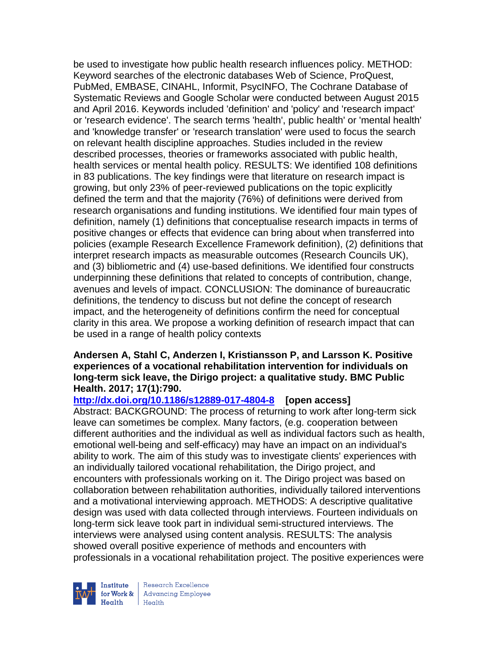be used to investigate how public health research influences policy. METHOD: Keyword searches of the electronic databases Web of Science, ProQuest, PubMed, EMBASE, CINAHL, Informit, PsycINFO, The Cochrane Database of Systematic Reviews and Google Scholar were conducted between August 2015 and April 2016. Keywords included 'definition' and 'policy' and 'research impact' or 'research evidence'. The search terms 'health', public health' or 'mental health' and 'knowledge transfer' or 'research translation' were used to focus the search on relevant health discipline approaches. Studies included in the review described processes, theories or frameworks associated with public health, health services or mental health policy. RESULTS: We identified 108 definitions in 83 publications. The key findings were that literature on research impact is growing, but only 23% of peer-reviewed publications on the topic explicitly defined the term and that the majority (76%) of definitions were derived from research organisations and funding institutions. We identified four main types of definition, namely (1) definitions that conceptualise research impacts in terms of positive changes or effects that evidence can bring about when transferred into policies (example Research Excellence Framework definition), (2) definitions that interpret research impacts as measurable outcomes (Research Councils UK), and (3) bibliometric and (4) use-based definitions. We identified four constructs underpinning these definitions that related to concepts of contribution, change, avenues and levels of impact. CONCLUSION: The dominance of bureaucratic definitions, the tendency to discuss but not define the concept of research impact, and the heterogeneity of definitions confirm the need for conceptual clarity in this area. We propose a working definition of research impact that can be used in a range of health policy contexts

#### **Andersen A, Stahl C, Anderzen I, Kristiansson P, and Larsson K. Positive experiences of a vocational rehabilitation intervention for individuals on long-term sick leave, the Dirigo project: a qualitative study. BMC Public Health. 2017; 17(1):790.**

### **<http://dx.doi.org/10.1186/s12889-017-4804-8>[open access]**

Abstract: BACKGROUND: The process of returning to work after long-term sick leave can sometimes be complex. Many factors, (e.g. cooperation between different authorities and the individual as well as individual factors such as health, emotional well-being and self-efficacy) may have an impact on an individual's ability to work. The aim of this study was to investigate clients' experiences with an individually tailored vocational rehabilitation, the Dirigo project, and encounters with professionals working on it. The Dirigo project was based on collaboration between rehabilitation authorities, individually tailored interventions and a motivational interviewing approach. METHODS: A descriptive qualitative design was used with data collected through interviews. Fourteen individuals on long-term sick leave took part in individual semi-structured interviews. The interviews were analysed using content analysis. RESULTS: The analysis showed overall positive experience of methods and encounters with professionals in a vocational rehabilitation project. The positive experiences were

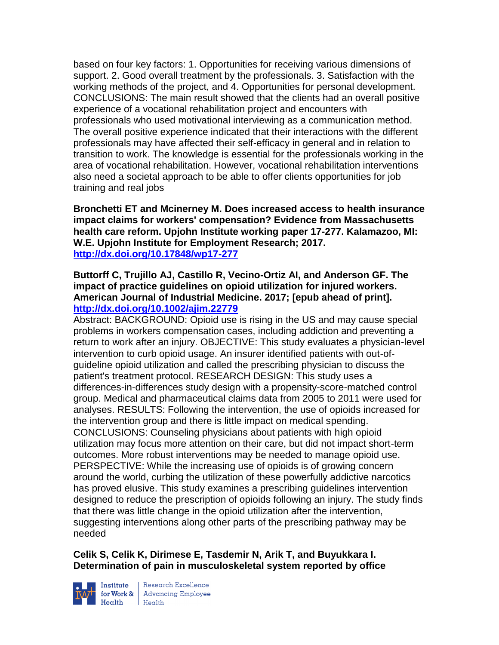based on four key factors: 1. Opportunities for receiving various dimensions of support. 2. Good overall treatment by the professionals. 3. Satisfaction with the working methods of the project, and 4. Opportunities for personal development. CONCLUSIONS: The main result showed that the clients had an overall positive experience of a vocational rehabilitation project and encounters with professionals who used motivational interviewing as a communication method. The overall positive experience indicated that their interactions with the different professionals may have affected their self-efficacy in general and in relation to transition to work. The knowledge is essential for the professionals working in the area of vocational rehabilitation. However, vocational rehabilitation interventions also need a societal approach to be able to offer clients opportunities for job training and real jobs

**Bronchetti ET and Mcinerney M. Does increased access to health insurance impact claims for workers' compensation? Evidence from Massachusetts health care reform. Upjohn Institute working paper 17-277. Kalamazoo, MI: W.E. Upjohn Institute for Employment Research; 2017. <http://dx.doi.org/10.17848/wp17-277>**

### **Buttorff C, Trujillo AJ, Castillo R, Vecino-Ortiz AI, and Anderson GF. The impact of practice guidelines on opioid utilization for injured workers. American Journal of Industrial Medicine. 2017; [epub ahead of print]. <http://dx.doi.org/10.1002/ajim.22779>**

Abstract: BACKGROUND: Opioid use is rising in the US and may cause special problems in workers compensation cases, including addiction and preventing a return to work after an injury. OBJECTIVE: This study evaluates a physician-level intervention to curb opioid usage. An insurer identified patients with out-ofguideline opioid utilization and called the prescribing physician to discuss the patient's treatment protocol. RESEARCH DESIGN: This study uses a differences-in-differences study design with a propensity-score-matched control group. Medical and pharmaceutical claims data from 2005 to 2011 were used for analyses. RESULTS: Following the intervention, the use of opioids increased for the intervention group and there is little impact on medical spending. CONCLUSIONS: Counseling physicians about patients with high opioid utilization may focus more attention on their care, but did not impact short-term outcomes. More robust interventions may be needed to manage opioid use. PERSPECTIVE: While the increasing use of opioids is of growing concern around the world, curbing the utilization of these powerfully addictive narcotics has proved elusive. This study examines a prescribing guidelines intervention designed to reduce the prescription of opioids following an injury. The study finds that there was little change in the opioid utilization after the intervention, suggesting interventions along other parts of the prescribing pathway may be needed

# **Celik S, Celik K, Dirimese E, Tasdemir N, Arik T, and Buyukkara I. Determination of pain in musculoskeletal system reported by office**



Institute Research Excellence<br>for Work & Advancing Employee<br>Health Health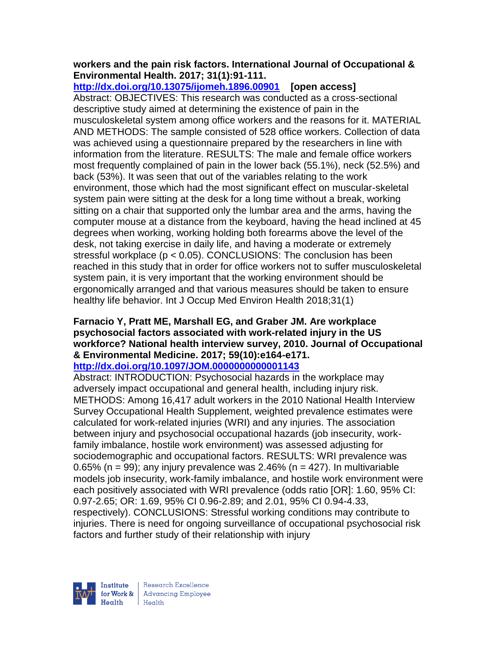### **workers and the pain risk factors. International Journal of Occupational & Environmental Health. 2017; 31(1):91-111.**

**<http://dx.doi.org/10.13075/ijomeh.1896.00901>[open access]** Abstract: OBJECTIVES: This research was conducted as a cross-sectional descriptive study aimed at determining the existence of pain in the musculoskeletal system among office workers and the reasons for it. MATERIAL AND METHODS: The sample consisted of 528 office workers. Collection of data was achieved using a questionnaire prepared by the researchers in line with information from the literature. RESULTS: The male and female office workers most frequently complained of pain in the lower back (55.1%), neck (52.5%) and back (53%). It was seen that out of the variables relating to the work environment, those which had the most significant effect on muscular-skeletal system pain were sitting at the desk for a long time without a break, working sitting on a chair that supported only the lumbar area and the arms, having the computer mouse at a distance from the keyboard, having the head inclined at 45 degrees when working, working holding both forearms above the level of the desk, not taking exercise in daily life, and having a moderate or extremely stressful workplace (p < 0.05). CONCLUSIONS: The conclusion has been reached in this study that in order for office workers not to suffer musculoskeletal system pain, it is very important that the working environment should be ergonomically arranged and that various measures should be taken to ensure healthy life behavior. Int J Occup Med Environ Health 2018;31(1)

# **Farnacio Y, Pratt ME, Marshall EG, and Graber JM. Are workplace psychosocial factors associated with work-related injury in the US workforce? National health interview survey, 2010. Journal of Occupational & Environmental Medicine. 2017; 59(10):e164-e171.**

# **<http://dx.doi.org/10.1097/JOM.0000000000001143>**

Abstract: INTRODUCTION: Psychosocial hazards in the workplace may adversely impact occupational and general health, including injury risk. METHODS: Among 16,417 adult workers in the 2010 National Health Interview Survey Occupational Health Supplement, weighted prevalence estimates were calculated for work-related injuries (WRI) and any injuries. The association between injury and psychosocial occupational hazards (job insecurity, workfamily imbalance, hostile work environment) was assessed adjusting for sociodemographic and occupational factors. RESULTS: WRI prevalence was 0.65% (n = 99); any injury prevalence was 2.46% (n = 427). In multivariable models job insecurity, work-family imbalance, and hostile work environment were each positively associated with WRI prevalence (odds ratio [OR]: 1.60, 95% CI: 0.97-2.65; OR: 1.69, 95% CI 0.96-2.89; and 2.01, 95% CI 0.94-4.33, respectively). CONCLUSIONS: Stressful working conditions may contribute to injuries. There is need for ongoing surveillance of occupational psychosocial risk factors and further study of their relationship with injury



| Research Excellence for Work & Advancing Employee  $H_{\text{eath}}$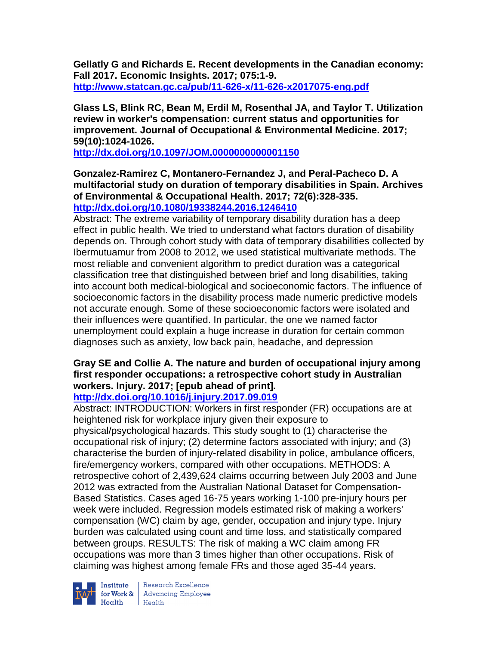**Gellatly G and Richards E. Recent developments in the Canadian economy: Fall 2017. Economic Insights. 2017; 075:1-9. <http://www.statcan.gc.ca/pub/11-626-x/11-626-x2017075-eng.pdf>**

**Glass LS, Blink RC, Bean M, Erdil M, Rosenthal JA, and Taylor T. Utilization review in worker's compensation: current status and opportunities for improvement. Journal of Occupational & Environmental Medicine. 2017; 59(10):1024-1026.** 

**<http://dx.doi.org/10.1097/JOM.0000000000001150>**

### **Gonzalez-Ramirez C, Montanero-Fernandez J, and Peral-Pacheco D. A multifactorial study on duration of temporary disabilities in Spain. Archives of Environmental & Occupational Health. 2017; 72(6):328-335. <http://dx.doi.org/10.1080/19338244.2016.1246410>**

Abstract: The extreme variability of temporary disability duration has a deep effect in public health. We tried to understand what factors duration of disability depends on. Through cohort study with data of temporary disabilities collected by Ibermutuamur from 2008 to 2012, we used statistical multivariate methods. The most reliable and convenient algorithm to predict duration was a categorical classification tree that distinguished between brief and long disabilities, taking into account both medical-biological and socioeconomic factors. The influence of socioeconomic factors in the disability process made numeric predictive models not accurate enough. Some of these socioeconomic factors were isolated and their influences were quantified. In particular, the one we named factor unemployment could explain a huge increase in duration for certain common diagnoses such as anxiety, low back pain, headache, and depression

# **Gray SE and Collie A. The nature and burden of occupational injury among first responder occupations: a retrospective cohort study in Australian workers. Injury. 2017; [epub ahead of print].**

# **<http://dx.doi.org/10.1016/j.injury.2017.09.019>**

Abstract: INTRODUCTION: Workers in first responder (FR) occupations are at heightened risk for workplace injury given their exposure to physical/psychological hazards. This study sought to (1) characterise the occupational risk of injury; (2) determine factors associated with injury; and (3) characterise the burden of injury-related disability in police, ambulance officers, fire/emergency workers, compared with other occupations. METHODS: A retrospective cohort of 2,439,624 claims occurring between July 2003 and June 2012 was extracted from the Australian National Dataset for Compensation-Based Statistics. Cases aged 16-75 years working 1-100 pre-injury hours per week were included. Regression models estimated risk of making a workers' compensation (WC) claim by age, gender, occupation and injury type. Injury burden was calculated using count and time loss, and statistically compared between groups. RESULTS: The risk of making a WC claim among FR occupations was more than 3 times higher than other occupations. Risk of claiming was highest among female FRs and those aged 35-44 years.



**Institute** Research Excellence<br> **for Work &** Advancing Employee<br> **Health** Health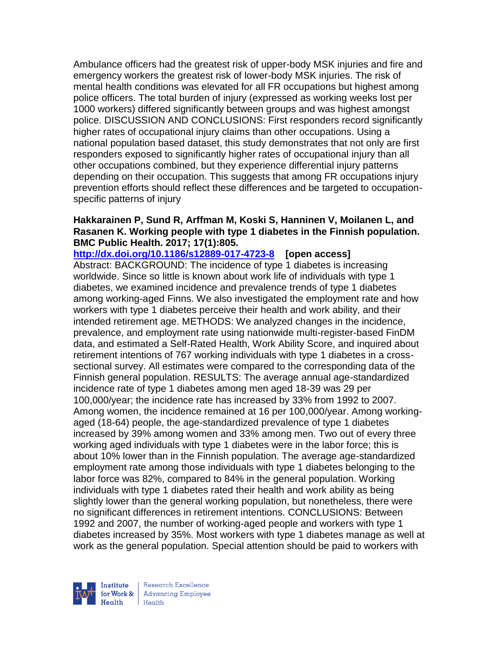Ambulance officers had the greatest risk of upper-body MSK injuries and fire and emergency workers the greatest risk of lower-body MSK injuries. The risk of mental health conditions was elevated for all FR occupations but highest among police officers. The total burden of injury (expressed as working weeks lost per 1000 workers) differed significantly between groups and was highest amongst police. DISCUSSION AND CONCLUSIONS: First responders record significantly higher rates of occupational injury claims than other occupations. Using a national population based dataset, this study demonstrates that not only are first responders exposed to significantly higher rates of occupational injury than all other occupations combined, but they experience differential injury patterns depending on their occupation. This suggests that among FR occupations injury prevention efforts should reflect these differences and be targeted to occupationspecific patterns of injury

### **Hakkarainen P, Sund R, Arffman M, Koski S, Hanninen V, Moilanen L, and Rasanen K. Working people with type 1 diabetes in the Finnish population. BMC Public Health. 2017; 17(1):805.**

**<http://dx.doi.org/10.1186/s12889-017-4723-8>[open access]** Abstract: BACKGROUND: The incidence of type 1 diabetes is increasing worldwide. Since so little is known about work life of individuals with type 1 diabetes, we examined incidence and prevalence trends of type 1 diabetes among working-aged Finns. We also investigated the employment rate and how workers with type 1 diabetes perceive their health and work ability, and their intended retirement age. METHODS: We analyzed changes in the incidence, prevalence, and employment rate using nationwide multi-register-based FinDM data, and estimated a Self-Rated Health, Work Ability Score, and inquired about retirement intentions of 767 working individuals with type 1 diabetes in a crosssectional survey. All estimates were compared to the corresponding data of the Finnish general population. RESULTS: The average annual age-standardized incidence rate of type 1 diabetes among men aged 18-39 was 29 per 100,000/year; the incidence rate has increased by 33% from 1992 to 2007. Among women, the incidence remained at 16 per 100,000/year. Among workingaged (18-64) people, the age-standardized prevalence of type 1 diabetes increased by 39% among women and 33% among men. Two out of every three working aged individuals with type 1 diabetes were in the labor force; this is about 10% lower than in the Finnish population. The average age-standardized employment rate among those individuals with type 1 diabetes belonging to the labor force was 82%, compared to 84% in the general population. Working individuals with type 1 diabetes rated their health and work ability as being slightly lower than the general working population, but nonetheless, there were no significant differences in retirement intentions. CONCLUSIONS: Between 1992 and 2007, the number of working-aged people and workers with type 1 diabetes increased by 35%. Most workers with type 1 diabetes manage as well at work as the general population. Special attention should be paid to workers with

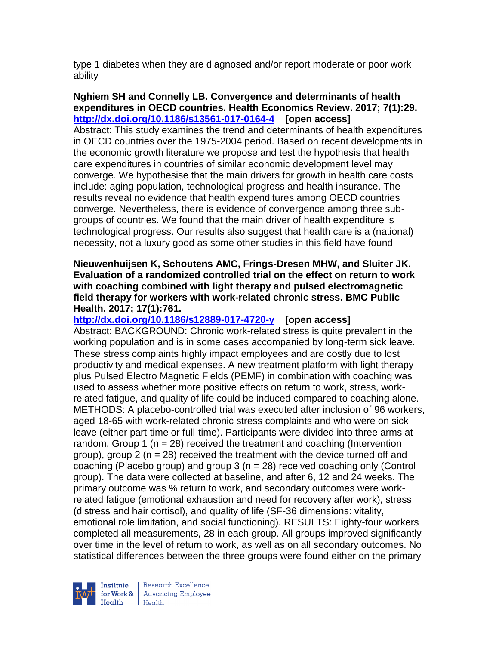type 1 diabetes when they are diagnosed and/or report moderate or poor work ability

### **Nghiem SH and Connelly LB. Convergence and determinants of health expenditures in OECD countries. Health Economics Review. 2017; 7(1):29. <http://dx.doi.org/10.1186/s13561-017-0164-4>[open access]**

Abstract: This study examines the trend and determinants of health expenditures in OECD countries over the 1975-2004 period. Based on recent developments in the economic growth literature we propose and test the hypothesis that health care expenditures in countries of similar economic development level may converge. We hypothesise that the main drivers for growth in health care costs include: aging population, technological progress and health insurance. The results reveal no evidence that health expenditures among OECD countries converge. Nevertheless, there is evidence of convergence among three subgroups of countries. We found that the main driver of health expenditure is technological progress. Our results also suggest that health care is a (national) necessity, not a luxury good as some other studies in this field have found

#### **Nieuwenhuijsen K, Schoutens AMC, Frings-Dresen MHW, and Sluiter JK. Evaluation of a randomized controlled trial on the effect on return to work with coaching combined with light therapy and pulsed electromagnetic field therapy for workers with work-related chronic stress. BMC Public Health. 2017; 17(1):761.**

**<http://dx.doi.org/10.1186/s12889-017-4720-y>[open access]**

Abstract: BACKGROUND: Chronic work-related stress is quite prevalent in the working population and is in some cases accompanied by long-term sick leave. These stress complaints highly impact employees and are costly due to lost productivity and medical expenses. A new treatment platform with light therapy plus Pulsed Electro Magnetic Fields (PEMF) in combination with coaching was used to assess whether more positive effects on return to work, stress, workrelated fatigue, and quality of life could be induced compared to coaching alone. METHODS: A placebo-controlled trial was executed after inclusion of 96 workers, aged 18-65 with work-related chronic stress complaints and who were on sick leave (either part-time or full-time). Participants were divided into three arms at random. Group 1 ( $n = 28$ ) received the treatment and coaching (Intervention group), group 2 ( $n = 28$ ) received the treatment with the device turned off and coaching (Placebo group) and group 3 (n = 28) received coaching only (Control group). The data were collected at baseline, and after 6, 12 and 24 weeks. The primary outcome was % return to work, and secondary outcomes were workrelated fatigue (emotional exhaustion and need for recovery after work), stress (distress and hair cortisol), and quality of life (SF-36 dimensions: vitality, emotional role limitation, and social functioning). RESULTS: Eighty-four workers completed all measurements, 28 in each group. All groups improved significantly over time in the level of return to work, as well as on all secondary outcomes. No statistical differences between the three groups were found either on the primary

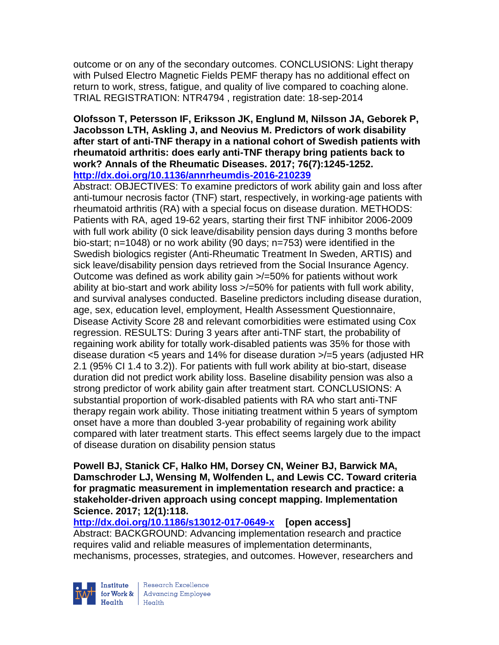outcome or on any of the secondary outcomes. CONCLUSIONS: Light therapy with Pulsed Electro Magnetic Fields PEMF therapy has no additional effect on return to work, stress, fatigue, and quality of live compared to coaching alone. TRIAL REGISTRATION: NTR4794 , registration date: 18-sep-2014

#### **Olofsson T, Petersson IF, Eriksson JK, Englund M, Nilsson JA, Geborek P, Jacobsson LTH, Askling J, and Neovius M. Predictors of work disability after start of anti-TNF therapy in a national cohort of Swedish patients with rheumatoid arthritis: does early anti-TNF therapy bring patients back to work? Annals of the Rheumatic Diseases. 2017; 76(7):1245-1252. <http://dx.doi.org/10.1136/annrheumdis-2016-210239>**

Abstract: OBJECTIVES: To examine predictors of work ability gain and loss after anti-tumour necrosis factor (TNF) start, respectively, in working-age patients with rheumatoid arthritis (RA) with a special focus on disease duration. METHODS: Patients with RA, aged 19-62 years, starting their first TNF inhibitor 2006-2009 with full work ability (0 sick leave/disability pension days during 3 months before bio-start; n=1048) or no work ability (90 days; n=753) were identified in the Swedish biologics register (Anti-Rheumatic Treatment In Sweden, ARTIS) and sick leave/disability pension days retrieved from the Social Insurance Agency. Outcome was defined as work ability gain >/=50% for patients without work ability at bio-start and work ability loss >/=50% for patients with full work ability, and survival analyses conducted. Baseline predictors including disease duration, age, sex, education level, employment, Health Assessment Questionnaire, Disease Activity Score 28 and relevant comorbidities were estimated using Cox regression. RESULTS: During 3 years after anti-TNF start, the probability of regaining work ability for totally work-disabled patients was 35% for those with disease duration <5 years and 14% for disease duration >/=5 years (adjusted HR 2.1 (95% CI 1.4 to 3.2)). For patients with full work ability at bio-start, disease duration did not predict work ability loss. Baseline disability pension was also a strong predictor of work ability gain after treatment start. CONCLUSIONS: A substantial proportion of work-disabled patients with RA who start anti-TNF therapy regain work ability. Those initiating treatment within 5 years of symptom onset have a more than doubled 3-year probability of regaining work ability compared with later treatment starts. This effect seems largely due to the impact of disease duration on disability pension status

**Powell BJ, Stanick CF, Halko HM, Dorsey CN, Weiner BJ, Barwick MA, Damschroder LJ, Wensing M, Wolfenden L, and Lewis CC. Toward criteria for pragmatic measurement in implementation research and practice: a stakeholder-driven approach using concept mapping. Implementation Science. 2017; 12(1):118.**

**<http://dx.doi.org/10.1186/s13012-017-0649-x>[open access]** Abstract: BACKGROUND: Advancing implementation research and practice requires valid and reliable measures of implementation determinants, mechanisms, processes, strategies, and outcomes. However, researchers and



Research Excellence for Work & | Advancing Employee  $H_{\text{each}}$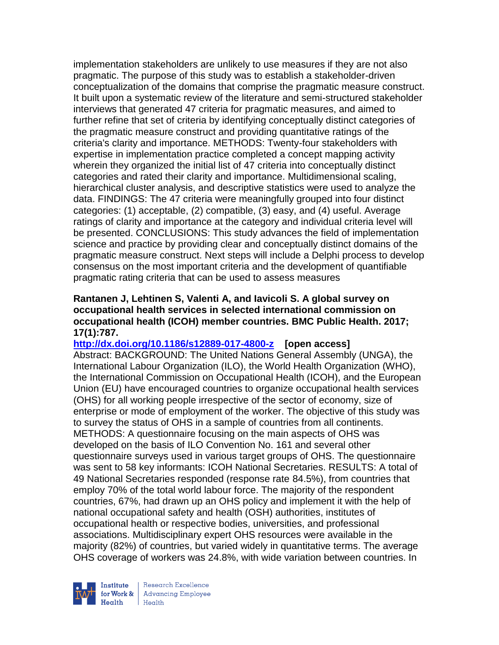implementation stakeholders are unlikely to use measures if they are not also pragmatic. The purpose of this study was to establish a stakeholder-driven conceptualization of the domains that comprise the pragmatic measure construct. It built upon a systematic review of the literature and semi-structured stakeholder interviews that generated 47 criteria for pragmatic measures, and aimed to further refine that set of criteria by identifying conceptually distinct categories of the pragmatic measure construct and providing quantitative ratings of the criteria's clarity and importance. METHODS: Twenty-four stakeholders with expertise in implementation practice completed a concept mapping activity wherein they organized the initial list of 47 criteria into conceptually distinct categories and rated their clarity and importance. Multidimensional scaling, hierarchical cluster analysis, and descriptive statistics were used to analyze the data. FINDINGS: The 47 criteria were meaningfully grouped into four distinct categories: (1) acceptable, (2) compatible, (3) easy, and (4) useful. Average ratings of clarity and importance at the category and individual criteria level will be presented. CONCLUSIONS: This study advances the field of implementation science and practice by providing clear and conceptually distinct domains of the pragmatic measure construct. Next steps will include a Delphi process to develop consensus on the most important criteria and the development of quantifiable pragmatic rating criteria that can be used to assess measures

### **Rantanen J, Lehtinen S, Valenti A, and Iavicoli S. A global survey on occupational health services in selected international commission on occupational health (ICOH) member countries. BMC Public Health. 2017; 17(1):787.**

### **<http://dx.doi.org/10.1186/s12889-017-4800-z>[open access]** Abstract: BACKGROUND: The United Nations General Assembly (UNGA), the International Labour Organization (ILO), the World Health Organization (WHO), the International Commission on Occupational Health (ICOH), and the European Union (EU) have encouraged countries to organize occupational health services (OHS) for all working people irrespective of the sector of economy, size of enterprise or mode of employment of the worker. The objective of this study was to survey the status of OHS in a sample of countries from all continents. METHODS: A questionnaire focusing on the main aspects of OHS was developed on the basis of ILO Convention No. 161 and several other questionnaire surveys used in various target groups of OHS. The questionnaire was sent to 58 key informants: ICOH National Secretaries. RESULTS: A total of 49 National Secretaries responded (response rate 84.5%), from countries that employ 70% of the total world labour force. The majority of the respondent countries, 67%, had drawn up an OHS policy and implement it with the help of national occupational safety and health (OSH) authorities, institutes of occupational health or respective bodies, universities, and professional associations. Multidisciplinary expert OHS resources were available in the majority (82%) of countries, but varied widely in quantitative terms. The average OHS coverage of workers was 24.8%, with wide variation between countries. In

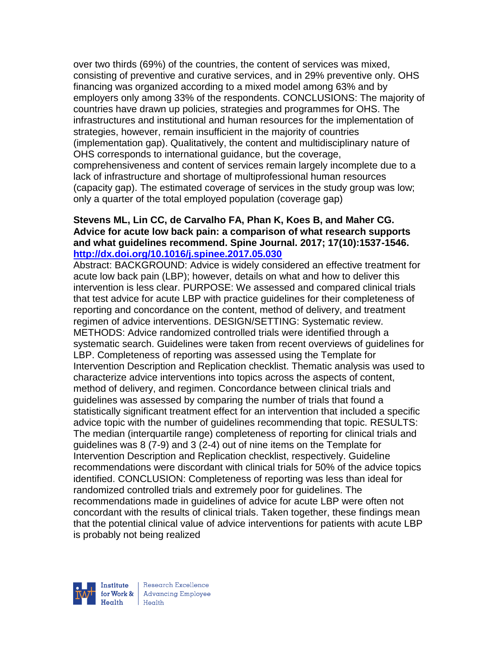over two thirds (69%) of the countries, the content of services was mixed, consisting of preventive and curative services, and in 29% preventive only. OHS financing was organized according to a mixed model among 63% and by employers only among 33% of the respondents. CONCLUSIONS: The majority of countries have drawn up policies, strategies and programmes for OHS. The infrastructures and institutional and human resources for the implementation of strategies, however, remain insufficient in the majority of countries (implementation gap). Qualitatively, the content and multidisciplinary nature of OHS corresponds to international guidance, but the coverage, comprehensiveness and content of services remain largely incomplete due to a lack of infrastructure and shortage of multiprofessional human resources (capacity gap). The estimated coverage of services in the study group was low; only a quarter of the total employed population (coverage gap)

### **Stevens ML, Lin CC, de Carvalho FA, Phan K, Koes B, and Maher CG. Advice for acute low back pain: a comparison of what research supports and what guidelines recommend. Spine Journal. 2017; 17(10):1537-1546. <http://dx.doi.org/10.1016/j.spinee.2017.05.030>**

Abstract: BACKGROUND: Advice is widely considered an effective treatment for acute low back pain (LBP); however, details on what and how to deliver this intervention is less clear. PURPOSE: We assessed and compared clinical trials that test advice for acute LBP with practice guidelines for their completeness of reporting and concordance on the content, method of delivery, and treatment regimen of advice interventions. DESIGN/SETTING: Systematic review. METHODS: Advice randomized controlled trials were identified through a systematic search. Guidelines were taken from recent overviews of guidelines for LBP. Completeness of reporting was assessed using the Template for Intervention Description and Replication checklist. Thematic analysis was used to characterize advice interventions into topics across the aspects of content, method of delivery, and regimen. Concordance between clinical trials and guidelines was assessed by comparing the number of trials that found a statistically significant treatment effect for an intervention that included a specific advice topic with the number of guidelines recommending that topic. RESULTS: The median (interquartile range) completeness of reporting for clinical trials and guidelines was 8 (7-9) and 3 (2-4) out of nine items on the Template for Intervention Description and Replication checklist, respectively. Guideline recommendations were discordant with clinical trials for 50% of the advice topics identified. CONCLUSION: Completeness of reporting was less than ideal for randomized controlled trials and extremely poor for guidelines. The recommendations made in guidelines of advice for acute LBP were often not concordant with the results of clinical trials. Taken together, these findings mean that the potential clinical value of advice interventions for patients with acute LBP is probably not being realized

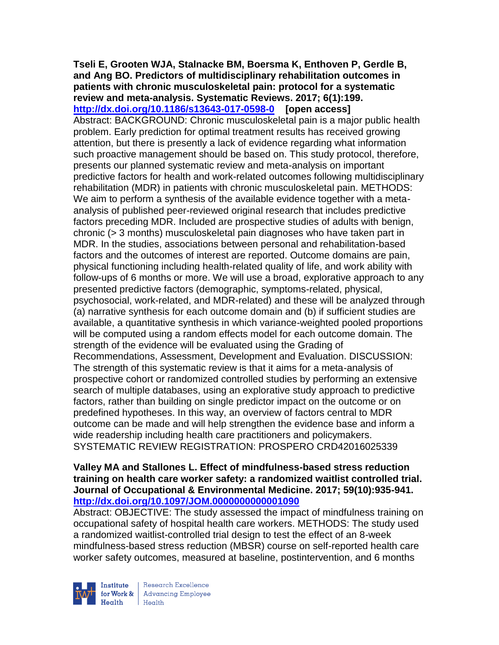#### **Tseli E, Grooten WJA, Stalnacke BM, Boersma K, Enthoven P, Gerdle B, and Ang BO. Predictors of multidisciplinary rehabilitation outcomes in patients with chronic musculoskeletal pain: protocol for a systematic review and meta-analysis. Systematic Reviews. 2017; 6(1):199. <http://dx.doi.org/10.1186/s13643-017-0598-0>[open access]**

Abstract: BACKGROUND: Chronic musculoskeletal pain is a major public health problem. Early prediction for optimal treatment results has received growing attention, but there is presently a lack of evidence regarding what information such proactive management should be based on. This study protocol, therefore, presents our planned systematic review and meta-analysis on important predictive factors for health and work-related outcomes following multidisciplinary rehabilitation (MDR) in patients with chronic musculoskeletal pain. METHODS: We aim to perform a synthesis of the available evidence together with a metaanalysis of published peer-reviewed original research that includes predictive factors preceding MDR. Included are prospective studies of adults with benign, chronic (> 3 months) musculoskeletal pain diagnoses who have taken part in MDR. In the studies, associations between personal and rehabilitation-based factors and the outcomes of interest are reported. Outcome domains are pain, physical functioning including health-related quality of life, and work ability with follow-ups of 6 months or more. We will use a broad, explorative approach to any presented predictive factors (demographic, symptoms-related, physical, psychosocial, work-related, and MDR-related) and these will be analyzed through (a) narrative synthesis for each outcome domain and (b) if sufficient studies are available, a quantitative synthesis in which variance-weighted pooled proportions will be computed using a random effects model for each outcome domain. The strength of the evidence will be evaluated using the Grading of Recommendations, Assessment, Development and Evaluation. DISCUSSION: The strength of this systematic review is that it aims for a meta-analysis of prospective cohort or randomized controlled studies by performing an extensive search of multiple databases, using an explorative study approach to predictive factors, rather than building on single predictor impact on the outcome or on predefined hypotheses. In this way, an overview of factors central to MDR outcome can be made and will help strengthen the evidence base and inform a wide readership including health care practitioners and policymakers. SYSTEMATIC REVIEW REGISTRATION: PROSPERO CRD42016025339

### **Valley MA and Stallones L. Effect of mindfulness-based stress reduction training on health care worker safety: a randomized waitlist controlled trial. Journal of Occupational & Environmental Medicine. 2017; 59(10):935-941. <http://dx.doi.org/10.1097/JOM.0000000000001090>**

Abstract: OBJECTIVE: The study assessed the impact of mindfulness training on occupational safety of hospital health care workers. METHODS: The study used a randomized waitlist-controlled trial design to test the effect of an 8-week mindfulness-based stress reduction (MBSR) course on self-reported health care worker safety outcomes, measured at baseline, postintervention, and 6 months